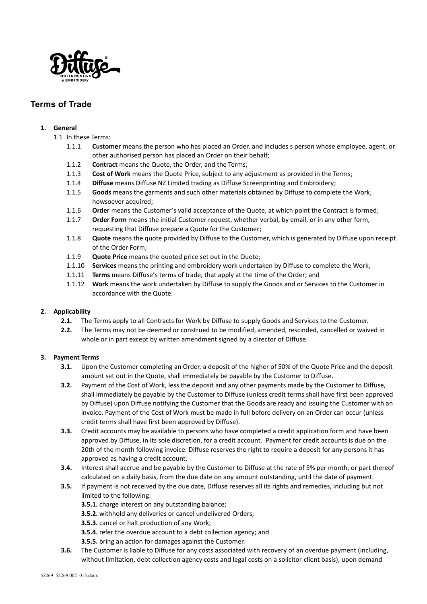

# **Terms of Trade**

## **1. General**

- 1.1 In these Terms:
	- 1.1.1 **Customer** means the person who has placed an Order, and includes s person whose employee, agent, or other authorised person has placed an Order on their behalf;
	- 1.1.2 **Contract** means the Quote, the Order, and the Terms;
	- 1.1.3 **Cost of Work** means the Quote Price, subject to any adjustment as provided in the Terms;
	- 1.1.4 **Diffuse** means Diffuse NZ Limited trading as Diffuse Screenprinting and Embroidery;
	- 1.1.5 **Goods** means the garments and such other materials obtained by Diffuse to complete the Work, howsoever acquired;
	- 1.1.6 **Order** means the Customer's valid acceptance of the Quote, at which point the Contract is formed;
	- 1.1.7 **Order Form** means the initial Customer request, whether verbal, by email, or in any other form, requesting that Diffuse prepare a Quote for the Customer;
	- 1.1.8 **Quote** means the quote provided by Diffuse to the Customer, which is generated by Diffuse upon receipt of the Order Form;
	- 1.1.9 **Quote Price** means the quoted price set out in the Quote;
	- 1.1.10 **Services** means the printing and embroidery work undertaken by Diffuse to complete the Work;
	- 1.1.11 **Terms** means Diffuse's terms of trade, that apply at the time of the Order; and
	- 1.1.12 **Work** means the work undertaken by Diffuse to supply the Goods and or Services to the Customer in accordance with the Quote.

## **2. Applicability**

- **2.1.** The Terms apply to all Contracts for Work by Diffuse to supply Goods and Services to the Customer.
- **2.2.** The Terms may not be deemed or construed to be modified, amended, rescinded, cancelled or waived in whole or in part except by written amendment signed by a director of Diffuse.

## **3. Payment Terms**

- **3.1.** Upon the Customer completing an Order, a deposit of the higher of 50% of the Quote Price and the deposit amount set out in the Quote, shall immediately be payable by the Customer to Diffuse.
- **3.2.** Payment of the Cost of Work, less the deposit and any other payments made by the Customer to Diffuse, shall immediately be payable by the Customer to Diffuse (unless credit terms shall have first been approved by Diffuse) upon Diffuse notifying the Customer that the Goods are ready and issuing the Customer with an invoice. Payment of the Cost of Work must be made in full before delivery on an Order can occur (unless credit terms shall have first been approved by Diffuse).
- **3.3.** Credit accounts may be available to persons who have completed a credit application form and have been approved by Diffuse, in its sole discretion, for a credit account. Payment for credit accounts is due on the 20th of the month following invoice. Diffuse reserves the right to require a deposit for any persons it has approved as having a credit account.
- **3.4.** Interest shall accrue and be payable by the Customer to Diffuse at the rate of 5% per month, or part thereof calculated on a daily basis, from the due date on any amount outstanding, until the date of payment.
- **3.5.** If payment is not received by the due date, Diffuse reserves all its rights and remedies, including but not limited to the following:
	- **3.5.1.** charge interest on any outstanding balance;
	- **3.5.2.** withhold any deliveries or cancel undelivered Orders;
	- **3.5.3.** cancel or halt production of any Work;
	- **3.5.4.** refer the overdue account to a debt collection agency; and
	- **3.5.5.** bring an action for damages against the Customer.
- **3.6.** The Customer is liable to Diffuse for any costs associated with recovery of an overdue payment (including, without limitation, debt collection agency costs and legal costs on a solicitor-client basis), upon demand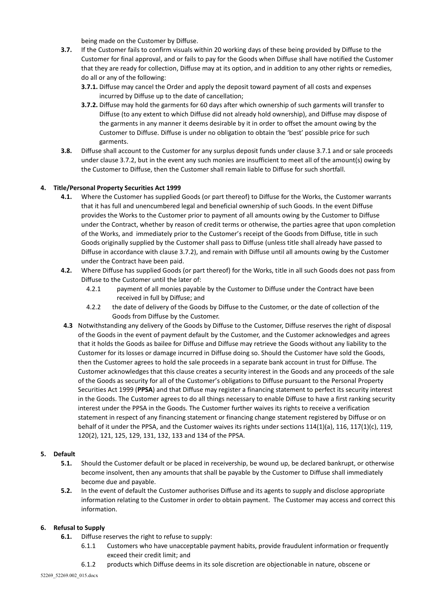being made on the Customer by Diffuse.

- **3.7.** If the Customer fails to confirm visuals within 20 working days of these being provided by Diffuse to the Customer for final approval, and or fails to pay for the Goods when Diffuse shall have notified the Customer that they are ready for collection, Diffuse may at its option, and in addition to any other rights or remedies, do all or any of the following:
	- **3.7.1.** Diffuse may cancel the Order and apply the deposit toward payment of all costs and expenses incurred by Diffuse up to the date of cancellation;
	- **3.7.2.** Diffuse may hold the garments for 60 days after which ownership of such garments will transfer to Diffuse (to any extent to which Diffuse did not already hold ownership), and Diffuse may dispose of the garments in any manner it deems desirable by it in order to offset the amount owing by the Customer to Diffuse. Diffuse is under no obligation to obtain the 'best' possible price for such garments.
- **3.8.** Diffuse shall account to the Customer for any surplus deposit funds under clause 3.7.1 and or sale proceeds under clause 3.7.2, but in the event any such monies are insufficient to meet all of the amount(s) owing by the Customer to Diffuse, then the Customer shall remain liable to Diffuse for such shortfall.

## **4. Title/Personal Property Securities Act 1999**

- **4.1.** Where the Customer has supplied Goods (or part thereof) to Diffuse for the Works, the Customer warrants that it has full and unencumbered legal and beneficial ownership of such Goods. In the event Diffuse provides the Works to the Customer prior to payment of all amounts owing by the Customer to Diffuse under the Contract, whether by reason of credit terms or otherwise, the parties agree that upon completion of the Works, and immediately prior to the Customer's receipt of the Goods from Diffuse, title in such Goods originally supplied by the Customer shall pass to Diffuse (unless title shall already have passed to Diffuse in accordance with clause 3.7.2), and remain with Diffuse until all amounts owing by the Customer under the Contract have been paid.
- **4.2.** Where Diffuse has supplied Goods (or part thereof) for the Works, title in all such Goods does not pass from Diffuse to the Customer until the later of:
	- 4.2.1 payment of all monies payable by the Customer to Diffuse under the Contract have been received in full by Diffuse; and
	- 4.2.2 the date of delivery of the Goods by Diffuse to the Customer, or the date of collection of the Goods from Diffuse by the Customer.
- **4.3** Notwithstanding any delivery of the Goods by Diffuse to the Customer, Diffuse reserves the right of disposal of the Goods in the event of payment default by the Customer, and the Customer acknowledges and agrees that it holds the Goods as bailee for Diffuse and Diffuse may retrieve the Goods without any liability to the Customer for its losses or damage incurred in Diffuse doing so. Should the Customer have sold the Goods, then the Customer agrees to hold the sale proceeds in a separate bank account in trust for Diffuse. The Customer acknowledges that this clause creates a security interest in the Goods and any proceeds of the sale of the Goods as security for all of the Customer's obligations to Diffuse pursuant to the Personal Property Securities Act 1999 (**PPSA**) and that Diffuse may register a financing statement to perfect its security interest in the Goods. The Customer agrees to do all things necessary to enable Diffuse to have a first ranking security interest under the PPSA in the Goods. The Customer further waives its rights to receive a verification statement in respect of any financing statement or financing change statement registered by Diffuse or on behalf of it under the PPSA, and the Customer waives its rights under sections 114(1)(a), 116, 117(1)(c), 119, 120(2), 121, 125, 129, 131, 132, 133 and 134 of the PPSA.

## **5. Default**

- **5.1.** Should the Customer default or be placed in receivership, be wound up, be declared bankrupt, or otherwise become insolvent, then any amounts that shall be payable by the Customer to Diffuse shall immediately become due and payable.
- **5.2.** In the event of default the Customer authorises Diffuse and its agents to supply and disclose appropriate information relating to the Customer in order to obtain payment. The Customer may access and correct this information.

## **6. Refusal to Supply**

- **6.1.** Diffuse reserves the right to refuse to supply:
	- 6.1.1 Customers who have unacceptable payment habits, provide fraudulent information or frequently exceed their credit limit; and
	- 6.1.2 products which Diffuse deems in its sole discretion are objectionable in nature, obscene or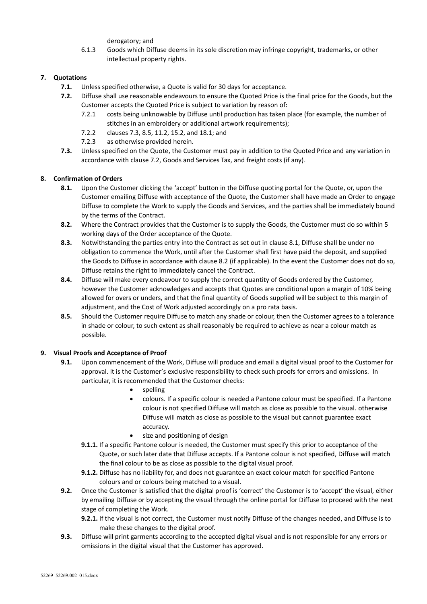derogatory; and

6.1.3 Goods which Diffuse deems in its sole discretion may infringe copyright, trademarks, or other intellectual property rights.

## **7. Quotations**

- **7.1.** Unless specified otherwise, a Quote is valid for 30 days for acceptance.
- **7.2.** Diffuse shall use reasonable endeavours to ensure the Quoted Price is the final price for the Goods, but the Customer accepts the Quoted Price is subject to variation by reason of:
	- 7.2.1 costs being unknowable by Diffuse until production has taken place (for example, the number of stitches in an embroidery or additional artwork requirements);
	- 7.2.2 clauses 7.3, 8.5, 11.2, 15.2, and 18.1; and
	- 7.2.3 as otherwise provided herein.
- **7.3.** Unless specified on the Quote, the Customer must pay in addition to the Quoted Price and any variation in accordance with clause 7.2, Goods and Services Tax, and freight costs (if any).

## **8. Confirmation of Orders**

- **8.1.** Upon the Customer clicking the 'accept' button in the Diffuse quoting portal for the Quote, or, upon the Customer emailing Diffuse with acceptance of the Quote, the Customer shall have made an Order to engage Diffuse to complete the Work to supply the Goods and Services, and the parties shall be immediately bound by the terms of the Contract.
- **8.2.** Where the Contract provides that the Customer is to supply the Goods, the Customer must do so within 5 working days of the Order acceptance of the Quote.
- **8.3.** Notwithstanding the parties entry into the Contract as set out in clause 8.1, Diffuse shall be under no obligation to commence the Work, until after the Customer shall first have paid the deposit, and supplied the Goods to Diffuse in accordance with clause 8.2 (if applicable). In the event the Customer does not do so, Diffuse retains the right to immediately cancel the Contract.
- **8.4.** Diffuse will make every endeavour to supply the correct quantity of Goods ordered by the Customer, however the Customer acknowledges and accepts that Quotes are conditional upon a margin of 10% being allowed for overs or unders, and that the final quantity of Goods supplied will be subject to this margin of adjustment, and the Cost of Work adjusted accordingly on a pro rata basis.
- **8.5.** Should the Customer require Diffuse to match any shade or colour, then the Customer agrees to a tolerance in shade or colour, to such extent as shall reasonably be required to achieve as near a colour match as possible.

## **9. Visual Proofs and Acceptance of Proof**

- **9.1.** Upon commencement of the Work, Diffuse will produce and email a digital visual proof to the Customer for approval. It is the Customer's exclusive responsibility to check such proofs for errors and omissions. In particular, it is recommended that the Customer checks:
	- **spelling**
	- colours. If a specific colour is needed a Pantone colour must be specified. If a Pantone colour is not specified Diffuse will match as close as possible to the visual. otherwise Diffuse will match as close as possible to the visual but cannot guarantee exact accuracy.
	- size and positioning of design
	- **9.1.1.** If a specific Pantone colour is needed, the Customer must specify this prior to acceptance of the Quote, or such later date that Diffuse accepts. If a Pantone colour is not specified, Diffuse will match the final colour to be as close as possible to the digital visual proof.
	- **9.1.2.** Diffuse has no liability for, and does not guarantee an exact colour match for specified Pantone colours and or colours being matched to a visual.
- **9.2.** Once the Customer is satisfied that the digital proof is 'correct' the Customer is to 'accept' the visual, either by emailing Diffuse or by accepting the visual through the online portal for Diffuse to proceed with the next stage of completing the Work.
	- **9.2.1.** If the visual is not correct, the Customer must notify Diffuse of the changes needed, and Diffuse is to make these changes to the digital proof.
- **9.3.** Diffuse will print garments according to the accepted digital visual and is not responsible for any errors or omissions in the digital visual that the Customer has approved.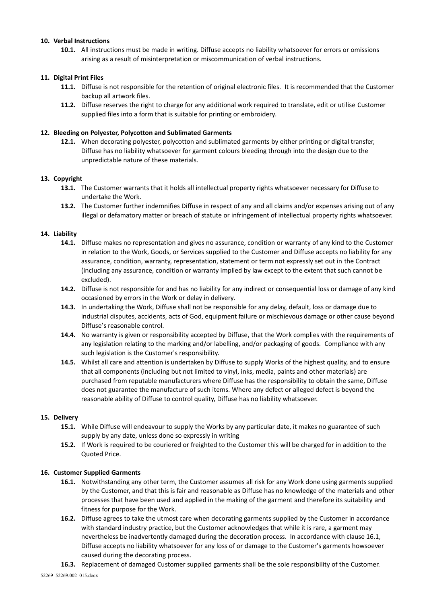### **10. Verbal Instructions**

**10.1.** All instructions must be made in writing. Diffuse accepts no liability whatsoever for errors or omissions arising as a result of misinterpretation or miscommunication of verbal instructions.

### **11. Digital Print Files**

- **11.1.** Diffuse is not responsible for the retention of original electronic files. It is recommended that the Customer backup all artwork files.
- **11.2.** Diffuse reserves the right to charge for any additional work required to translate, edit or utilise Customer supplied files into a form that is suitable for printing or embroidery.

### **12. Bleeding on Polyester, Polycotton and Sublimated Garments**

**12.1.** When decorating polyester, polycotton and sublimated garments by either printing or digital transfer, Diffuse has no liability whatsoever for garment colours bleeding through into the design due to the unpredictable nature of these materials.

#### **13. Copyright**

- **13.1.** The Customer warrants that it holds all intellectual property rights whatsoever necessary for Diffuse to undertake the Work.
- **13.2.** The Customer further indemnifies Diffuse in respect of any and all claims and/or expenses arising out of any illegal or defamatory matter or breach of statute or infringement of intellectual property rights whatsoever.

#### **14. Liability**

- **14.1.** Diffuse makes no representation and gives no assurance, condition or warranty of any kind to the Customer in relation to the Work, Goods, or Services supplied to the Customer and Diffuse accepts no liability for any assurance, condition, warranty, representation, statement or term not expressly set out in the Contract (including any assurance, condition or warranty implied by law except to the extent that such cannot be excluded).
- **14.2.** Diffuse is not responsible for and has no liability for any indirect or consequential loss or damage of any kind occasioned by errors in the Work or delay in delivery.
- **14.3.** In undertaking the Work, Diffuse shall not be responsible for any delay, default, loss or damage due to industrial disputes, accidents, acts of God, equipment failure or mischievous damage or other cause beyond Diffuse's reasonable control.
- **14.4.** No warranty is given or responsibility accepted by Diffuse, that the Work complies with the requirements of any legislation relating to the marking and/or labelling, and/or packaging of goods. Compliance with any such legislation is the Customer's responsibility.
- **14.5.** Whilst all care and attention is undertaken by Diffuse to supply Works of the highest quality, and to ensure that all components (including but not limited to vinyl, inks, media, paints and other materials) are purchased from reputable manufacturers where Diffuse has the responsibility to obtain the same, Diffuse does not guarantee the manufacture of such items. Where any defect or alleged defect is beyond the reasonable ability of Diffuse to control quality, Diffuse has no liability whatsoever.

#### **15. Delivery**

- **15.1.** While Diffuse will endeavour to supply the Works by any particular date, it makes no guarantee of such supply by any date, unless done so expressly in writing
- **15.2.** If Work is required to be couriered or freighted to the Customer this will be charged for in addition to the Quoted Price.

#### **16. Customer Supplied Garments**

- **16.1.** Notwithstanding any other term, the Customer assumes all risk for any Work done using garments supplied by the Customer, and that this is fair and reasonable as Diffuse has no knowledge of the materials and other processes that have been used and applied in the making of the garment and therefore its suitability and fitness for purpose for the Work.
- **16.2.** Diffuse agrees to take the utmost care when decorating garments supplied by the Customer in accordance with standard industry practice, but the Customer acknowledges that while it is rare, a garment may nevertheless be inadvertently damaged during the decoration process. In accordance with clause 16.1, Diffuse accepts no liability whatsoever for any loss of or damage to the Customer's garments howsoever caused during the decorating process.

**16.3.** Replacement of damaged Customer supplied garments shall be the sole responsibility of the Customer.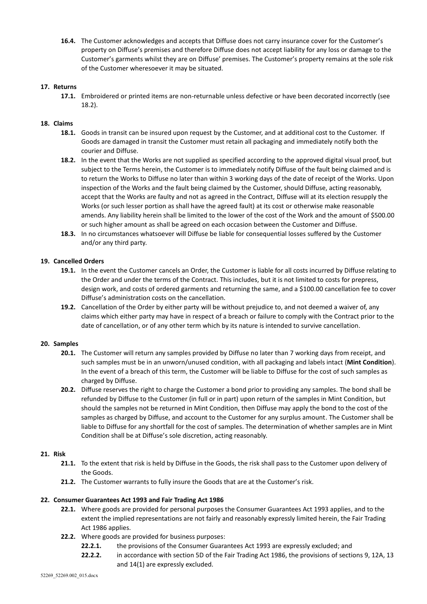**16.4.** The Customer acknowledges and accepts that Diffuse does not carry insurance cover for the Customer's property on Diffuse's premises and therefore Diffuse does not accept liability for any loss or damage to the Customer's garments whilst they are on Diffuse' premises. The Customer's property remains at the sole risk of the Customer wheresoever it may be situated.

## **17. Returns**

**17.1.** Embroidered or printed items are non-returnable unless defective or have been decorated incorrectly (see 18.2).

## **18. Claims**

- **18.1.** Goods in transit can be insured upon request by the Customer, and at additional cost to the Customer. If Goods are damaged in transit the Customer must retain all packaging and immediately notify both the courier and Diffuse.
- **18.2.** In the event that the Works are not supplied as specified according to the approved digital visual proof, but subject to the Terms herein, the Customer is to immediately notify Diffuse of the fault being claimed and is to return the Works to Diffuse no later than within 3 working days of the date of receipt of the Works. Upon inspection of the Works and the fault being claimed by the Customer, should Diffuse, acting reasonably, accept that the Works are faulty and not as agreed in the Contract, Diffuse will at its election resupply the Works (or such lesser portion as shall have the agreed fault) at its cost or otherwise make reasonable amends. Any liability herein shall be limited to the lower of the cost of the Work and the amount of \$500.00 or such higher amount as shall be agreed on each occasion between the Customer and Diffuse.
- **18.3.** In no circumstances whatsoever will Diffuse be liable for consequential losses suffered by the Customer and/or any third party.

## **19. Cancelled Orders**

- **19.1.** In the event the Customer cancels an Order, the Customer is liable for all costs incurred by Diffuse relating to the Order and under the terms of the Contract. This includes, but it is not limited to costs for prepress, design work, and costs of ordered garments and returning the same, and a \$100.00 cancellation fee to cover Diffuse's administration costs on the cancellation.
- **19.2.** Cancellation of the Order by either party will be without prejudice to, and not deemed a waiver of, any claims which either party may have in respect of a breach or failure to comply with the Contract prior to the date of cancellation, or of any other term which by its nature is intended to survive cancellation.

## **20. Samples**

- **20.1.** The Customer will return any samples provided by Diffuse no later than 7 working days from receipt, and such samples must be in an unworn/unused condition, with all packaging and labels intact (**Mint Condition**). In the event of a breach of this term, the Customer will be liable to Diffuse for the cost of such samples as charged by Diffuse.
- **20.2.** Diffuse reserves the right to charge the Customer a bond prior to providing any samples. The bond shall be refunded by Diffuse to the Customer (in full or in part) upon return of the samples in Mint Condition, but should the samples not be returned in Mint Condition, then Diffuse may apply the bond to the cost of the samples as charged by Diffuse, and account to the Customer for any surplus amount. The Customer shall be liable to Diffuse for any shortfall for the cost of samples. The determination of whether samples are in Mint Condition shall be at Diffuse's sole discretion, acting reasonably.

## **21. Risk**

- **21.1.** To the extent that risk is held by Diffuse in the Goods, the risk shall pass to the Customer upon delivery of the Goods.
- **21.2.** The Customer warrants to fully insure the Goods that are at the Customer's risk.

## **22. Consumer Guarantees Act 1993 and Fair Trading Act 1986**

- **22.1.** Where goods are provided for personal purposes the Consumer Guarantees Act 1993 applies, and to the extent the implied representations are not fairly and reasonably expressly limited herein, the Fair Trading Act 1986 applies.
- **22.2.** Where goods are provided for business purposes:
	- **22.2.1.** the provisions of the Consumer Guarantees Act 1993 are expressly excluded; and
	- **22.2.2.** in accordance with section 5D of the Fair Trading Act 1986, the provisions of sections 9, 12A, 13 and 14(1) are expressly excluded.